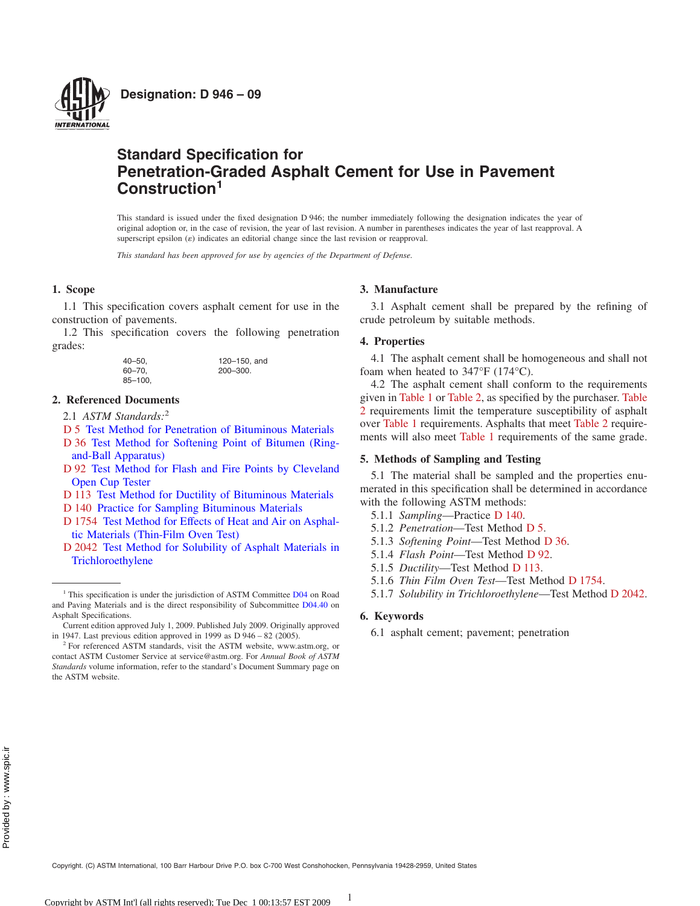

# **Standard Specification for Penetration-Graded Asphalt Cement for Use in Pavement Construction<sup>1</sup>**

This standard is issued under the fixed designation D 946; the number immediately following the designation indicates the year of original adoption or, in the case of revision, the year of last revision. A number in parentheses indicates the year of last reapproval. A superscript epsilon  $(\varepsilon)$  indicates an editorial change since the last revision or reapproval.

*This standard has been approved for use by agencies of the Department of Defense.*

## **1. Scope**

1.1 This specification covers asphalt cement for use in the construction of pavements.

1.2 This specification covers the following penetration grades:

> 40–50, 120–150, and 60–70, 200–300. 85–100,

#### **2. [Ref](#page-0-0)[erenced Documents](http://dx.doi.org/10.1520/D0005)**

[2.1](#page-0-1) *[ASTM Standards:](http://dx.doi.org/10.1520/D0036)*<sup>2</sup>

- D 5 [Test Method for P](http://dx.doi.org/10.1520/D0036)enetration of Bituminous Materials
- [D 36](#page-0-2) [Test Method for Softening Point of Bitumen \(Ring](http://dx.doi.org/10.1520/D0092)[and-Ball Apparatu](http://dx.doi.org/10.1520/D0092)s)
- [D 92](#page-0-3) [Test Method for Flash and Fire Points by Cleveland](http://dx.doi.org/10.1520/D0113) [Open](#page-0-4) [Cup Tester](http://dx.doi.org/10.1520/D0140)
- [D 113](#page-0-5) [Test Method for Ductility of Bituminous Materials](http://dx.doi.org/10.1520/D1754)
- D 140 [Practice for Sampling Bitumin](http://dx.doi.org/10.1520/D1754)ous Materials
- [D 1754](#page-0-6) [Test Method for Effects of Heat and Air on Asphal](http://dx.doi.org/10.1520/D2042)[tic Materials \(Thin](http://dx.doi.org/10.1520/D2042)-Film Oven Test)
- D 2042 Test Method for Solubility of Asphalt Materials in Trichloroethylene

 $C = 1.1$   $\pm$   $0.000$   $\pm$   $0.11$   $\pm$   $1.00$   $\pm$  Dec 10.13:57 EST 2009

### **3. Manufacture**

3.1 Asphalt cement shall be prepared by the refining of crude petroleum by suitable methods.

#### **4. Properties**

4.1 The asphalt cement shall be homogeneous and sh[all not](#page-1-1) [fo](#page-1-1)am w[hen heat](#page-1-0)ed [to 347°](#page-1-1)F (174°C).

<span id="page-0-8"></span>4.2 The asphalt cement shall conform to the requirements given in [Tabl](#page-1-0)e 1 or Table 2, as specified by the [purchas](#page-1-1)er. Table 2 requirements limit [the tem](#page-1-0)perature susceptibility of asphalt over Table 1 requirements. Asphalts that meet Table 2 requirements will also meet Table 1 requirements of the same grade.

### <span id="page-0-9"></span>**5. Methods of Sampling and Testing**

<span id="page-0-4"></span><span id="page-0-0"></span>5.1 The material shall be sampled and the properties enumerated in this specification [shall be](#page-0-7) [det](#page-0-8)ermined in accordance with the following ASTM methods:

- <span id="page-0-10"></span><span id="page-0-7"></span><span id="page-0-2"></span><span id="page-0-1"></span>5.1.1 *Sampling*—Practice D 140.
- <span id="page-0-11"></span><span id="page-0-3"></span>5.1.2 *Penetration*—Test Method [D 5.](#page-0-9)
- <span id="page-0-5"></span>5.1.3 *Softening Point*—Test [Method](#page-0-10) D 3[6.](#page-0-11)
- <span id="page-0-6"></span>5.1.4 *Flash Point*—Test Method D 92.
- 5.1.5 *Ductility*—Test Method D 113.
- 5.1.6 *Thin Film Oven Test*—Test Method D 1754.
- 5.1.7 *Solubility in Trichloroethylene*—Test Method D 2042.

#### **6. Keywords**

6.1 asphalt cement; pavement; penetration

1

<sup>&</sup>lt;sup>1</sup> This specification is under the jurisdiction of ASTM Committee D04 on Road and Paving Materials and is the direct responsibility of Subcommittee D04.40 on Asphalt Specifications.

Current edition approved July 1, 2009. Published July 2009. Originally approved in 1947. Last previous edition approved in 1999 as  $D$  946 – 82 (2005).

<sup>2</sup> For referenced ASTM standards, visit the ASTM website, www.astm.org, or contact ASTM Customer Service at service@astm.org. For *Annual Book of ASTM Standards* volume information, refer to the standard's Document Summary page on the ASTM website.